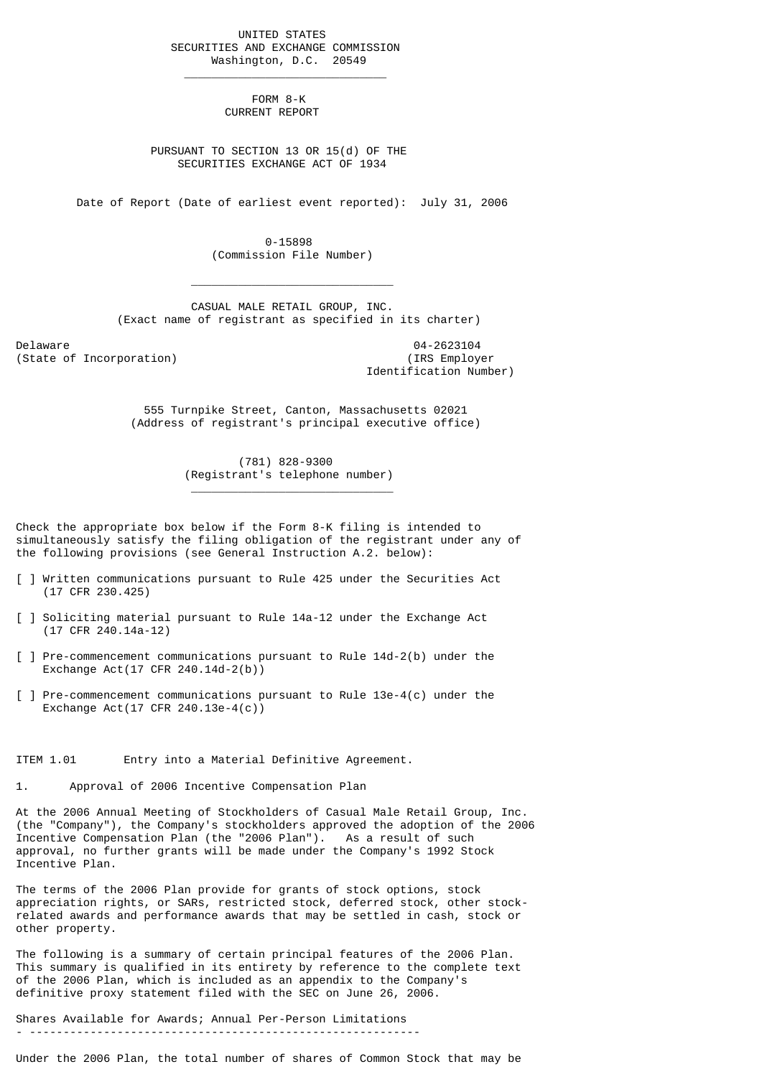UNITED STATES SECURITIES AND EXCHANGE COMMISSION Washington, D.C. 20549

> FORM 8-K CURRENT REPORT

 $\mathcal{L}_\text{max}$  and  $\mathcal{L}_\text{max}$  and  $\mathcal{L}_\text{max}$  are the set of  $\mathcal{L}_\text{max}$ 

 $\frac{1}{2}$  , and the set of the set of the set of the set of the set of the set of the set of the set of the set of the set of the set of the set of the set of the set of the set of the set of the set of the set of the set

\_\_\_\_\_\_\_\_\_\_\_\_\_\_\_\_\_\_\_\_\_\_\_\_\_\_\_\_\_\_

 PURSUANT TO SECTION 13 OR 15(d) OF THE SECURITIES EXCHANGE ACT OF 1934

Date of Report (Date of earliest event reported): July 31, 2006

 0-15898 (Commission File Number)

 CASUAL MALE RETAIL GROUP, INC. (Exact name of registrant as specified in its charter)

Delaware 04-2623104<br>
Delaware 04-2623104<br>
(IRS Employer) (IRS Employer) (State of Incorporation)

Identification Number)

 555 Turnpike Street, Canton, Massachusetts 02021 (Address of registrant's principal executive office)

> (781) 828-9300 (Registrant's telephone number)

Check the appropriate box below if the Form 8-K filing is intended to simultaneously satisfy the filing obligation of the registrant under any of the following provisions (see General Instruction A.2. below):

- [ ] Written communications pursuant to Rule 425 under the Securities Act (17 CFR 230.425)
- [ ] Soliciting material pursuant to Rule 14a-12 under the Exchange Act (17 CFR 240.14a-12)
- [ ] Pre-commencement communications pursuant to Rule 14d-2(b) under the Exchange Act(17 CFR 240.14d-2(b))
- [ ] Pre-commencement communications pursuant to Rule 13e-4(c) under the Exchange Act(17 CFR 240.13e-4(c))

### ITEM 1.01 Entry into a Material Definitive Agreement.

1. Approval of 2006 Incentive Compensation Plan

At the 2006 Annual Meeting of Stockholders of Casual Male Retail Group, Inc. (the "Company"), the Company's stockholders approved the adoption of the 2006 Incentive Compensation Plan (the "2006 Plan"). As a result of such approval, no further grants will be made under the Company's 1992 Stock Incentive Plan.

The terms of the 2006 Plan provide for grants of stock options, stock appreciation rights, or SARs, restricted stock, deferred stock, other stockrelated awards and performance awards that may be settled in cash, stock or other property.

The following is a summary of certain principal features of the 2006 Plan. This summary is qualified in its entirety by reference to the complete text of the 2006 Plan, which is included as an appendix to the Company's definitive proxy statement filed with the SEC on June 26, 2006.

Shares Available for Awards; Annual Per-Person Limitations

- ----------------------------------------------------------

Under the 2006 Plan, the total number of shares of Common Stock that may be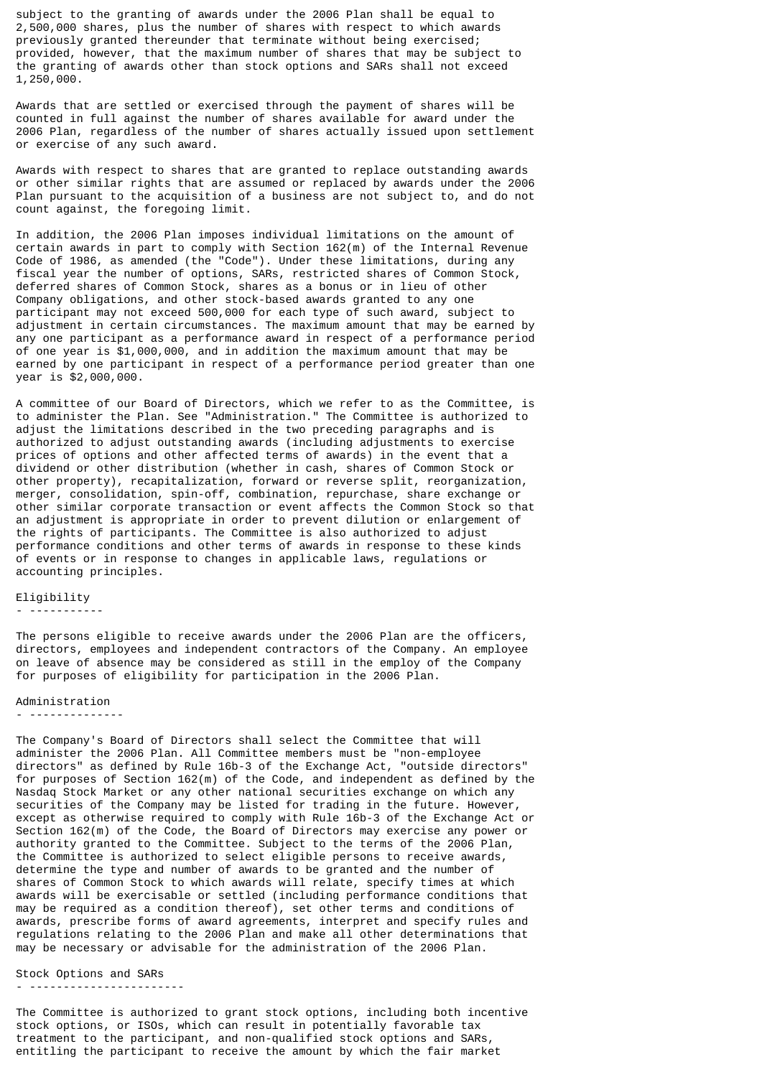subject to the granting of awards under the 2006 Plan shall be equal to 2,500,000 shares, plus the number of shares with respect to which awards previously granted thereunder that terminate without being exercised; provided, however, that the maximum number of shares that may be subject to the granting of awards other than stock options and SARs shall not exceed 1,250,000.

Awards that are settled or exercised through the payment of shares will be counted in full against the number of shares available for award under the 2006 Plan, regardless of the number of shares actually issued upon settlement or exercise of any such award.

Awards with respect to shares that are granted to replace outstanding awards or other similar rights that are assumed or replaced by awards under the 2006 Plan pursuant to the acquisition of a business are not subject to, and do not count against, the foregoing limit.

In addition, the 2006 Plan imposes individual limitations on the amount of certain awards in part to comply with Section 162(m) of the Internal Revenue Code of 1986, as amended (the "Code"). Under these limitations, during any fiscal year the number of options, SARs, restricted shares of Common Stock, deferred shares of Common Stock, shares as a bonus or in lieu of other Company obligations, and other stock-based awards granted to any one participant may not exceed 500,000 for each type of such award, subject to adjustment in certain circumstances. The maximum amount that may be earned by any one participant as a performance award in respect of a performance period of one year is \$1,000,000, and in addition the maximum amount that may be earned by one participant in respect of a performance period greater than one year is \$2,000,000.

A committee of our Board of Directors, which we refer to as the Committee, is to administer the Plan. See "Administration." The Committee is authorized to adjust the limitations described in the two preceding paragraphs and is authorized to adjust outstanding awards (including adjustments to exercise prices of options and other affected terms of awards) in the event that a dividend or other distribution (whether in cash, shares of Common Stock or other property), recapitalization, forward or reverse split, reorganization, merger, consolidation, spin-off, combination, repurchase, share exchange or other similar corporate transaction or event affects the Common Stock so that an adjustment is appropriate in order to prevent dilution or enlargement of the rights of participants. The Committee is also authorized to adjust performance conditions and other terms of awards in response to these kinds of events or in response to changes in applicable laws, regulations or accounting principles.

### Eligibility

## - -----------

The persons eligible to receive awards under the 2006 Plan are the officers, directors, employees and independent contractors of the Company. An employee on leave of absence may be considered as still in the employ of the Company for purposes of eligibility for participation in the 2006 Plan.

#### Administration

#### - --------------

The Company's Board of Directors shall select the Committee that will administer the 2006 Plan. All Committee members must be "non-employee directors" as defined by Rule 16b-3 of the Exchange Act, "outside directors" for purposes of Section 162(m) of the Code, and independent as defined by the Nasdaq Stock Market or any other national securities exchange on which any securities of the Company may be listed for trading in the future. However, except as otherwise required to comply with Rule 16b-3 of the Exchange Act or Section 162(m) of the Code, the Board of Directors may exercise any power or authority granted to the Committee. Subject to the terms of the 2006 Plan, the Committee is authorized to select eligible persons to receive awards, determine the type and number of awards to be granted and the number of shares of Common Stock to which awards will relate, specify times at which awards will be exercisable or settled (including performance conditions that may be required as a condition thereof), set other terms and conditions of awards, prescribe forms of award agreements, interpret and specify rules and regulations relating to the 2006 Plan and make all other determinations that may be necessary or advisable for the administration of the 2006 Plan.

# Stock Options and SARs

- -----------------------

The Committee is authorized to grant stock options, including both incentive stock options, or ISOs, which can result in potentially favorable tax treatment to the participant, and non-qualified stock options and SARs, entitling the participant to receive the amount by which the fair market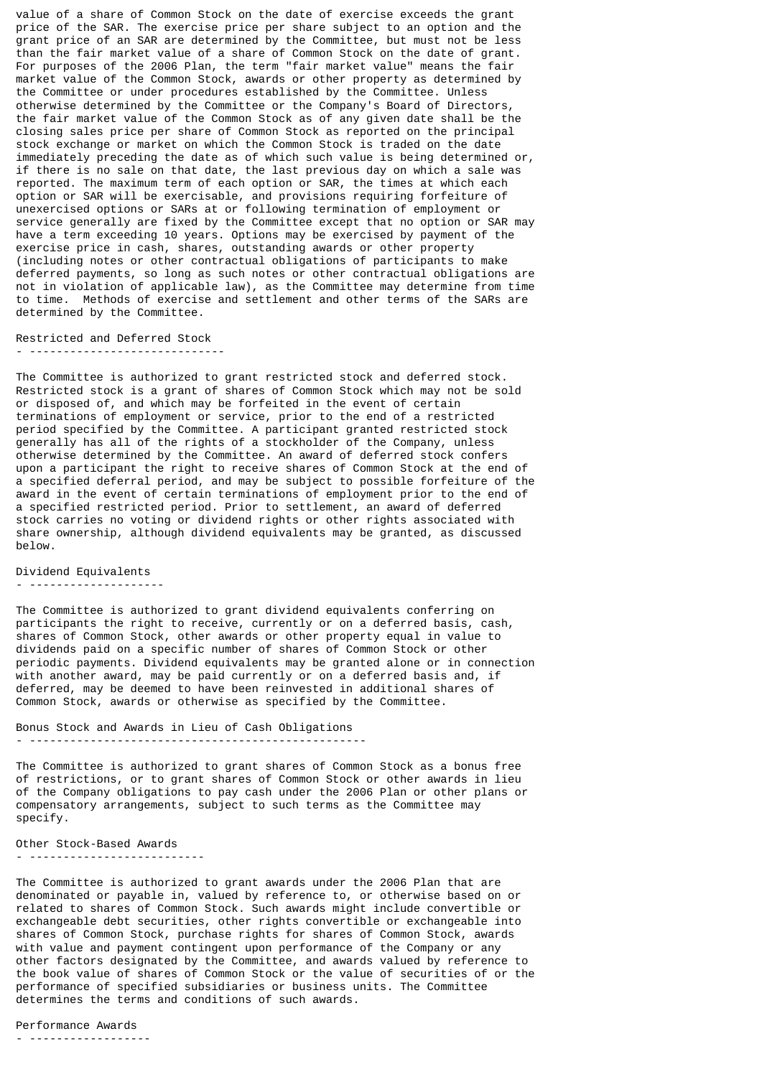value of a share of Common Stock on the date of exercise exceeds the grant price of the SAR. The exercise price per share subject to an option and the grant price of an SAR are determined by the Committee, but must not be less than the fair market value of a share of Common Stock on the date of grant. For purposes of the 2006 Plan, the term "fair market value" means the fair market value of the Common Stock, awards or other property as determined by the Committee or under procedures established by the Committee. Unless otherwise determined by the Committee or the Company's Board of Directors, the fair market value of the Common Stock as of any given date shall be the closing sales price per share of Common Stock as reported on the principal stock exchange or market on which the Common Stock is traded on the date immediately preceding the date as of which such value is being determined or, if there is no sale on that date, the last previous day on which a sale was reported. The maximum term of each option or SAR, the times at which each option or SAR will be exercisable, and provisions requiring forfeiture of unexercised options or SARs at or following termination of employment or service generally are fixed by the Committee except that no option or SAR may have a term exceeding 10 years. Options may be exercised by payment of the exercise price in cash, shares, outstanding awards or other property (including notes or other contractual obligations of participants to make deferred payments, so long as such notes or other contractual obligations are not in violation of applicable law), as the Committee may determine from time to time. Methods of exercise and settlement and other terms of the SARs are determined by the Committee.

Restricted and Deferred Stock

- -----------------------------

The Committee is authorized to grant restricted stock and deferred stock. Restricted stock is a grant of shares of Common Stock which may not be sold or disposed of, and which may be forfeited in the event of certain terminations of employment or service, prior to the end of a restricted period specified by the Committee. A participant granted restricted stock generally has all of the rights of a stockholder of the Company, unless otherwise determined by the Committee. An award of deferred stock confers upon a participant the right to receive shares of Common Stock at the end of a specified deferral period, and may be subject to possible forfeiture of the award in the event of certain terminations of employment prior to the end of a specified restricted period. Prior to settlement, an award of deferred stock carries no voting or dividend rights or other rights associated with share ownership, although dividend equivalents may be granted, as discussed below.

Dividend Equivalents

- --------------------

The Committee is authorized to grant dividend equivalents conferring on participants the right to receive, currently or on a deferred basis, cash, shares of Common Stock, other awards or other property equal in value to dividends paid on a specific number of shares of Common Stock or other periodic payments. Dividend equivalents may be granted alone or in connection with another award, may be paid currently or on a deferred basis and, if deferred, may be deemed to have been reinvested in additional shares of Common Stock, awards or otherwise as specified by the Committee.

Bonus Stock and Awards in Lieu of Cash Obligations

- --------------------------------------------------

The Committee is authorized to grant shares of Common Stock as a bonus free of restrictions, or to grant shares of Common Stock or other awards in lieu of the Company obligations to pay cash under the 2006 Plan or other plans or compensatory arrangements, subject to such terms as the Committee may specify.

Other Stock-Based Awards - --------------------------

The Committee is authorized to grant awards under the 2006 Plan that are denominated or payable in, valued by reference to, or otherwise based on or related to shares of Common Stock. Such awards might include convertible or exchangeable debt securities, other rights convertible or exchangeable into shares of Common Stock, purchase rights for shares of Common Stock, awards with value and payment contingent upon performance of the Company or any other factors designated by the Committee, and awards valued by reference to the book value of shares of Common Stock or the value of securities of or the performance of specified subsidiaries or business units. The Committee determines the terms and conditions of such awards.

Performance Awards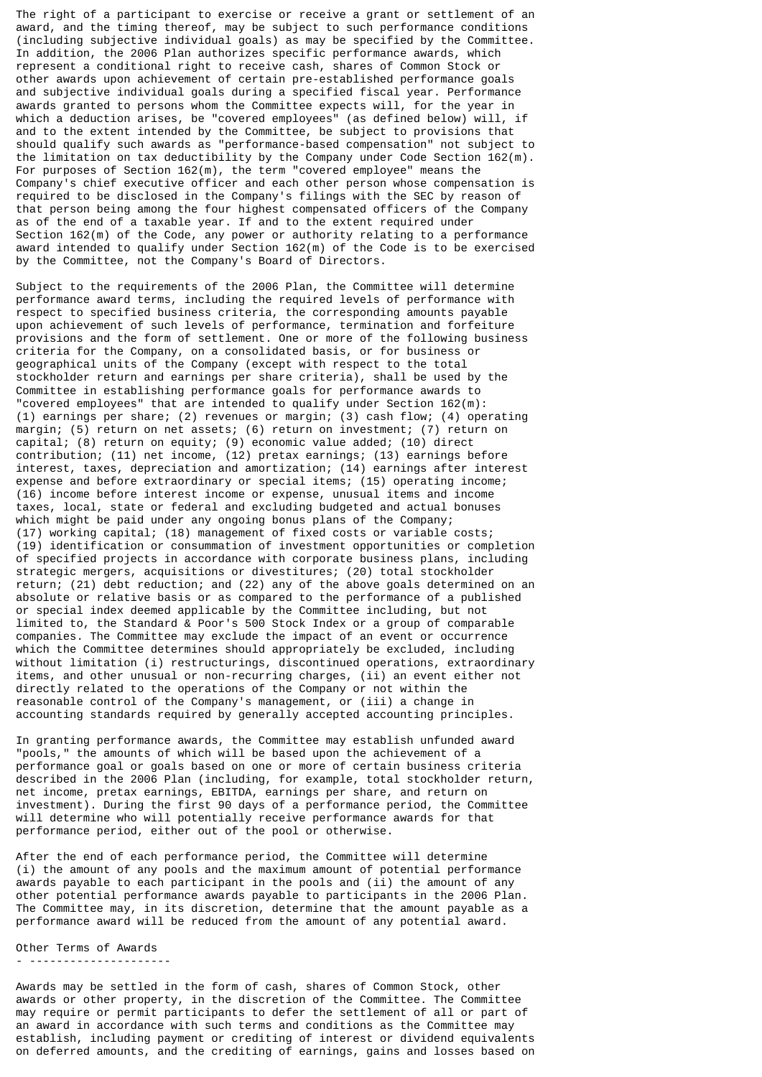The right of a participant to exercise or receive a grant or settlement of an award, and the timing thereof, may be subject to such performance conditions (including subjective individual goals) as may be specified by the Committee. In addition, the 2006 Plan authorizes specific performance awards, which represent a conditional right to receive cash, shares of Common Stock or other awards upon achievement of certain pre-established performance goals and subjective individual goals during a specified fiscal year. Performance awards granted to persons whom the Committee expects will, for the year in which a deduction arises, be "covered employees" (as defined below) will, if and to the extent intended by the Committee, be subject to provisions that should qualify such awards as "performance-based compensation" not subject to the limitation on tax deductibility by the Company under Code Section 162(m). For purposes of Section 162(m), the term "covered employee" means the Company's chief executive officer and each other person whose compensation is required to be disclosed in the Company's filings with the SEC by reason of that person being among the four highest compensated officers of the Company as of the end of a taxable year. If and to the extent required under Section 162(m) of the Code, any power or authority relating to a performance award intended to qualify under Section 162(m) of the Code is to be exercised by the Committee, not the Company's Board of Directors.

Subject to the requirements of the 2006 Plan, the Committee will determine performance award terms, including the required levels of performance with respect to specified business criteria, the corresponding amounts payable upon achievement of such levels of performance, termination and forfeiture provisions and the form of settlement. One or more of the following business criteria for the Company, on a consolidated basis, or for business or geographical units of the Company (except with respect to the total stockholder return and earnings per share criteria), shall be used by the Committee in establishing performance goals for performance awards to "covered employees" that are intended to qualify under Section 162(m): (1) earnings per share; (2) revenues or margin; (3) cash flow; (4) operating margin; (5) return on net assets; (6) return on investment; (7) return on capital; (8) return on equity; (9) economic value added; (10) direct contribution; (11) net income, (12) pretax earnings; (13) earnings before interest, taxes, depreciation and amortization; (14) earnings after interest expense and before extraordinary or special items; (15) operating income; (16) income before interest income or expense, unusual items and income taxes, local, state or federal and excluding budgeted and actual bonuses which might be paid under any ongoing bonus plans of the Company; (17) working capital; (18) management of fixed costs or variable costs; (19) identification or consummation of investment opportunities or completion of specified projects in accordance with corporate business plans, including strategic mergers, acquisitions or divestitures; (20) total stockholder return; (21) debt reduction; and (22) any of the above goals determined on an absolute or relative basis or as compared to the performance of a published or special index deemed applicable by the Committee including, but not limited to, the Standard & Poor's 500 Stock Index or a group of comparable companies. The Committee may exclude the impact of an event or occurrence which the Committee determines should appropriately be excluded, including without limitation (i) restructurings, discontinued operations, extraordinary items, and other unusual or non-recurring charges, (ii) an event either not directly related to the operations of the Company or not within the reasonable control of the Company's management, or (iii) a change in accounting standards required by generally accepted accounting principles.

In granting performance awards, the Committee may establish unfunded award "pools," the amounts of which will be based upon the achievement of a performance goal or goals based on one or more of certain business criteria described in the 2006 Plan (including, for example, total stockholder return, net income, pretax earnings, EBITDA, earnings per share, and return on investment). During the first 90 days of a performance period, the Committee will determine who will potentially receive performance awards for that performance period, either out of the pool or otherwise.

After the end of each performance period, the Committee will determine (i) the amount of any pools and the maximum amount of potential performance awards payable to each participant in the pools and (ii) the amount of any other potential performance awards payable to participants in the 2006 Plan. The Committee may, in its discretion, determine that the amount payable as a performance award will be reduced from the amount of any potential award.

Other Terms of Awards - ---------------------

Awards may be settled in the form of cash, shares of Common Stock, other awards or other property, in the discretion of the Committee. The Committee may require or permit participants to defer the settlement of all or part of an award in accordance with such terms and conditions as the Committee may establish, including payment or crediting of interest or dividend equivalents on deferred amounts, and the crediting of earnings, gains and losses based on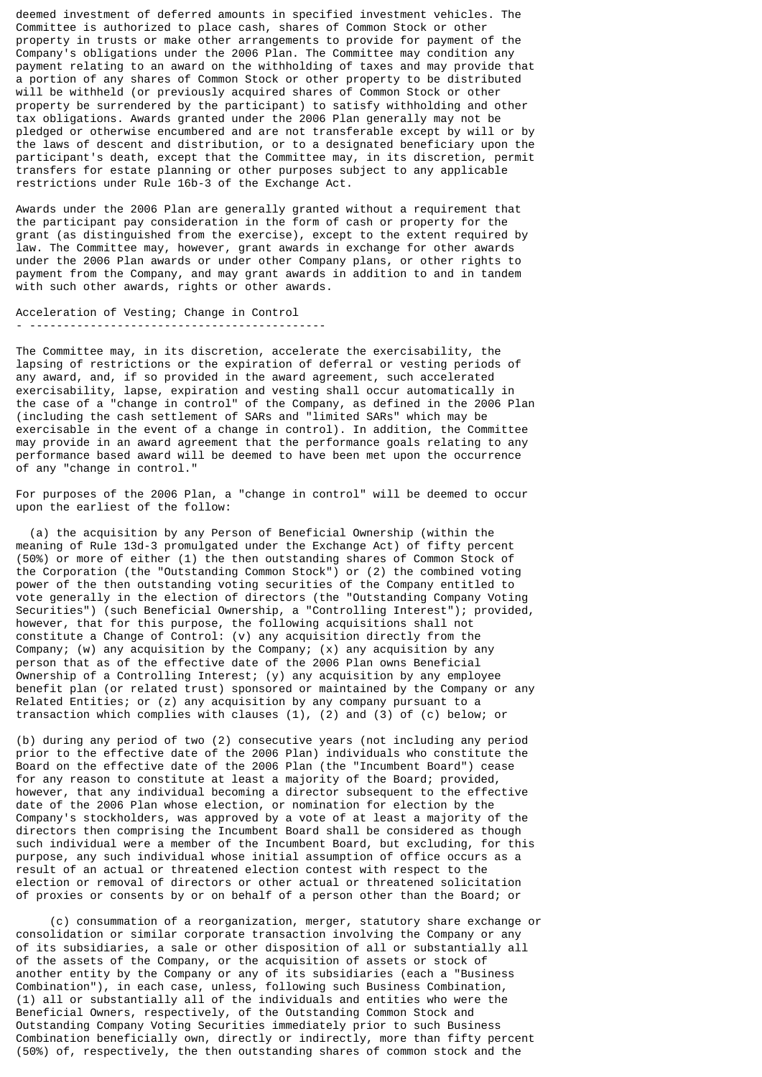deemed investment of deferred amounts in specified investment vehicles. The Committee is authorized to place cash, shares of Common Stock or other property in trusts or make other arrangements to provide for payment of the Company's obligations under the 2006 Plan. The Committee may condition any payment relating to an award on the withholding of taxes and may provide that a portion of any shares of Common Stock or other property to be distributed will be withheld (or previously acquired shares of Common Stock or other property be surrendered by the participant) to satisfy withholding and other tax obligations. Awards granted under the 2006 Plan generally may not be pledged or otherwise encumbered and are not transferable except by will or by the laws of descent and distribution, or to a designated beneficiary upon the participant's death, except that the Committee may, in its discretion, permit transfers for estate planning or other purposes subject to any applicable restrictions under Rule 16b-3 of the Exchange Act.

Awards under the 2006 Plan are generally granted without a requirement that the participant pay consideration in the form of cash or property for the grant (as distinguished from the exercise), except to the extent required by law. The Committee may, however, grant awards in exchange for other awards under the 2006 Plan awards or under other Company plans, or other rights to payment from the Company, and may grant awards in addition to and in tandem with such other awards, rights or other awards.

Acceleration of Vesting; Change in Control - --------------------------------------------

The Committee may, in its discretion, accelerate the exercisability, the lapsing of restrictions or the expiration of deferral or vesting periods of any award, and, if so provided in the award agreement, such accelerated exercisability, lapse, expiration and vesting shall occur automatically in the case of a "change in control" of the Company, as defined in the 2006 Plan (including the cash settlement of SARs and "limited SARs" which may be exercisable in the event of a change in control). In addition, the Committee may provide in an award agreement that the performance goals relating to any performance based award will be deemed to have been met upon the occurrence of any "change in control."

For purposes of the 2006 Plan, a "change in control" will be deemed to occur upon the earliest of the follow:

 (a) the acquisition by any Person of Beneficial Ownership (within the meaning of Rule 13d-3 promulgated under the Exchange Act) of fifty percent (50%) or more of either (1) the then outstanding shares of Common Stock of the Corporation (the "Outstanding Common Stock") or (2) the combined voting power of the then outstanding voting securities of the Company entitled to vote generally in the election of directors (the "Outstanding Company Voting Securities") (such Beneficial Ownership, a "Controlling Interest"); provided, however, that for this purpose, the following acquisitions shall not constitute a Change of Control: (v) any acquisition directly from the Company; (w) any acquisition by the Company;  $(x)$  any acquisition by any person that as of the effective date of the 2006 Plan owns Beneficial Ownership of a Controlling Interest; (y) any acquisition by any employee benefit plan (or related trust) sponsored or maintained by the Company or any Related Entities; or (z) any acquisition by any company pursuant to a transaction which complies with clauses (1), (2) and (3) of (c) below; or

(b) during any period of two (2) consecutive years (not including any period prior to the effective date of the 2006 Plan) individuals who constitute the Board on the effective date of the 2006 Plan (the "Incumbent Board") cease for any reason to constitute at least a majority of the Board; provided, however, that any individual becoming a director subsequent to the effective date of the 2006 Plan whose election, or nomination for election by the Company's stockholders, was approved by a vote of at least a majority of the directors then comprising the Incumbent Board shall be considered as though such individual were a member of the Incumbent Board, but excluding, for this purpose, any such individual whose initial assumption of office occurs as a result of an actual or threatened election contest with respect to the election or removal of directors or other actual or threatened solicitation of proxies or consents by or on behalf of a person other than the Board; or

 (c) consummation of a reorganization, merger, statutory share exchange or consolidation or similar corporate transaction involving the Company or any of its subsidiaries, a sale or other disposition of all or substantially all of the assets of the Company, or the acquisition of assets or stock of another entity by the Company or any of its subsidiaries (each a "Business Combination"), in each case, unless, following such Business Combination, (1) all or substantially all of the individuals and entities who were the Beneficial Owners, respectively, of the Outstanding Common Stock and Outstanding Company Voting Securities immediately prior to such Business Combination beneficially own, directly or indirectly, more than fifty percent (50%) of, respectively, the then outstanding shares of common stock and the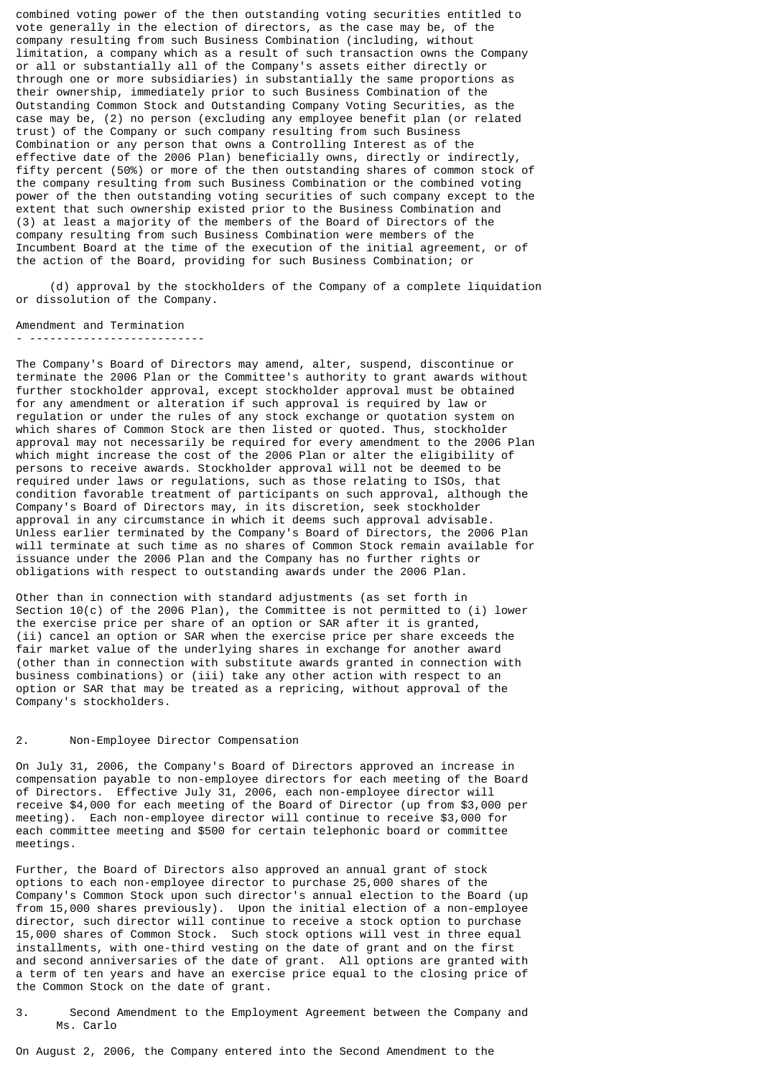combined voting power of the then outstanding voting securities entitled to vote generally in the election of directors, as the case may be, of the company resulting from such Business Combination (including, without limitation, a company which as a result of such transaction owns the Company or all or substantially all of the Company's assets either directly or through one or more subsidiaries) in substantially the same proportions as their ownership, immediately prior to such Business Combination of the Outstanding Common Stock and Outstanding Company Voting Securities, as the case may be, (2) no person (excluding any employee benefit plan (or related trust) of the Company or such company resulting from such Business Combination or any person that owns a Controlling Interest as of the effective date of the 2006 Plan) beneficially owns, directly or indirectly, fifty percent (50%) or more of the then outstanding shares of common stock of the company resulting from such Business Combination or the combined voting power of the then outstanding voting securities of such company except to the extent that such ownership existed prior to the Business Combination and (3) at least a majority of the members of the Board of Directors of the company resulting from such Business Combination were members of the Incumbent Board at the time of the execution of the initial agreement, or of the action of the Board, providing for such Business Combination; or

 (d) approval by the stockholders of the Company of a complete liquidation or dissolution of the Company.

Amendment and Termination

- --------------------------

The Company's Board of Directors may amend, alter, suspend, discontinue or terminate the 2006 Plan or the Committee's authority to grant awards without further stockholder approval, except stockholder approval must be obtained for any amendment or alteration if such approval is required by law or regulation or under the rules of any stock exchange or quotation system on which shares of Common Stock are then listed or quoted. Thus, stockholder approval may not necessarily be required for every amendment to the 2006 Plan which might increase the cost of the 2006 Plan or alter the eligibility of persons to receive awards. Stockholder approval will not be deemed to be required under laws or regulations, such as those relating to ISOs, that condition favorable treatment of participants on such approval, although the Company's Board of Directors may, in its discretion, seek stockholder approval in any circumstance in which it deems such approval advisable. Unless earlier terminated by the Company's Board of Directors, the 2006 Plan will terminate at such time as no shares of Common Stock remain available for issuance under the 2006 Plan and the Company has no further rights or obligations with respect to outstanding awards under the 2006 Plan.

Other than in connection with standard adjustments (as set forth in Section 10(c) of the 2006 Plan), the Committee is not permitted to (i) lower the exercise price per share of an option or SAR after it is granted, (ii) cancel an option or SAR when the exercise price per share exceeds the fair market value of the underlying shares in exchange for another award (other than in connection with substitute awards granted in connection with business combinations) or (iii) take any other action with respect to an option or SAR that may be treated as a repricing, without approval of the Company's stockholders.

# 2. Non-Employee Director Compensation

On July 31, 2006, the Company's Board of Directors approved an increase in compensation payable to non-employee directors for each meeting of the Board of Directors. Effective July 31, 2006, each non-employee director will receive \$4,000 for each meeting of the Board of Director (up from \$3,000 per meeting). Each non-employee director will continue to receive \$3,000 for each committee meeting and \$500 for certain telephonic board or committee meetings.

Further, the Board of Directors also approved an annual grant of stock options to each non-employee director to purchase 25,000 shares of the Company's Common Stock upon such director's annual election to the Board (up from 15,000 shares previously). Upon the initial election of a non-employee director, such director will continue to receive a stock option to purchase 15,000 shares of Common Stock. Such stock options will vest in three equal installments, with one-third vesting on the date of grant and on the first and second anniversaries of the date of grant. All options are granted with a term of ten years and have an exercise price equal to the closing price of the Common Stock on the date of grant.

3. Second Amendment to the Employment Agreement between the Company and Ms. Carlo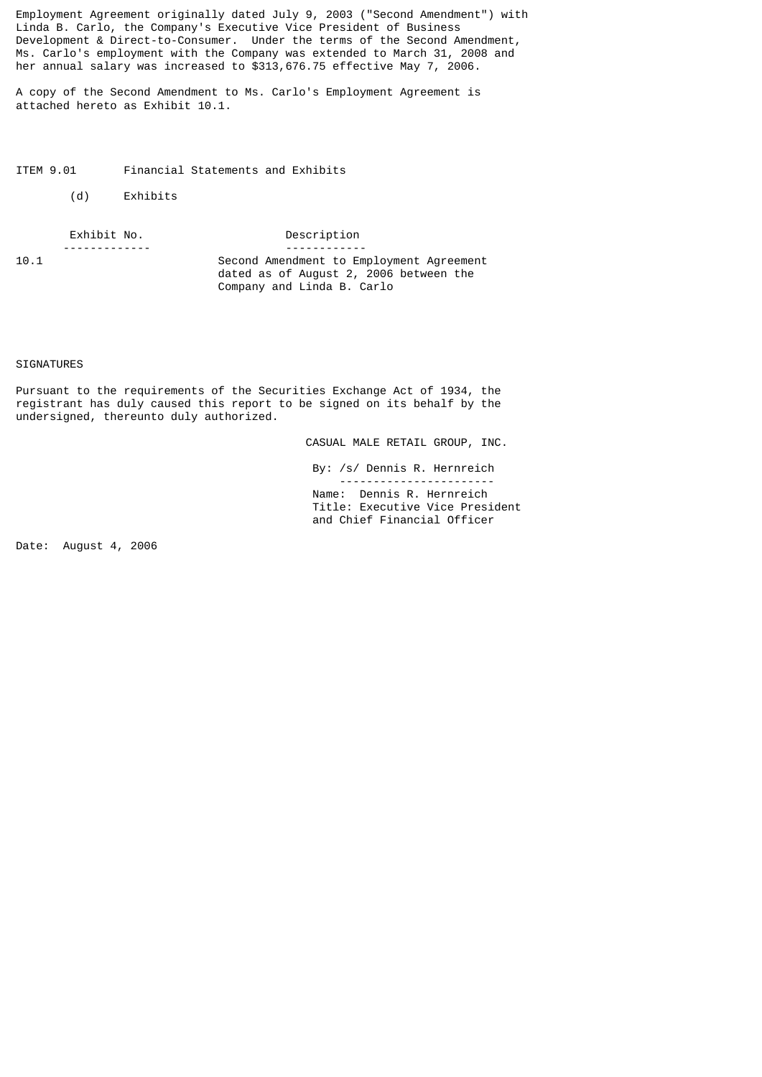Employment Agreement originally dated July 9, 2003 ("Second Amendment") with Linda B. Carlo, the Company's Executive Vice President of Business Development & Direct-to-Consumer. Under the terms of the Second Amendment, Ms. Carlo's employment with the Company was extended to March 31, 2008 and her annual salary was increased to \$313,676.75 effective May 7, 2006.

A copy of the Second Amendment to Ms. Carlo's Employment Agreement is attached hereto as Exhibit 10.1.

ITEM 9.01 Financial Statements and Exhibits

(d) Exhibits

 Exhibit No. Description ------------<br>10.1 Second Amendment to Employment Agreement dated as of August 2, 2006 between the Company and Linda B. Carlo

### SIGNATURES

Pursuant to the requirements of the Securities Exchange Act of 1934, the registrant has duly caused this report to be signed on its behalf by the undersigned, thereunto duly authorized.

CASUAL MALE RETAIL GROUP, INC.

 By: /s/ Dennis R. Hernreich ----------------------- Name: Dennis R. Hernreich Title: Executive Vice President and Chief Financial Officer

Date: August 4, 2006